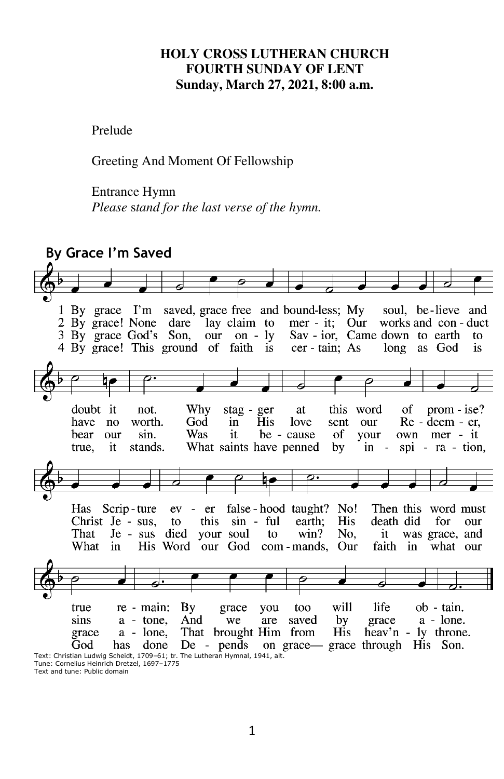#### **HOLY CROSS LUTHERAN CHURCH FOURTH SUNDAY OF LENT Sunday, March 27, 2021, 8:00 a.m.**

Prelude

Greeting And Moment Of Fellowship

Entrance Hymn

*Please* s*tand for the last verse of the hymn.* 



Tune: Cornelius Heinrich Dretzel, 1697–1775 Text and tune: Public domain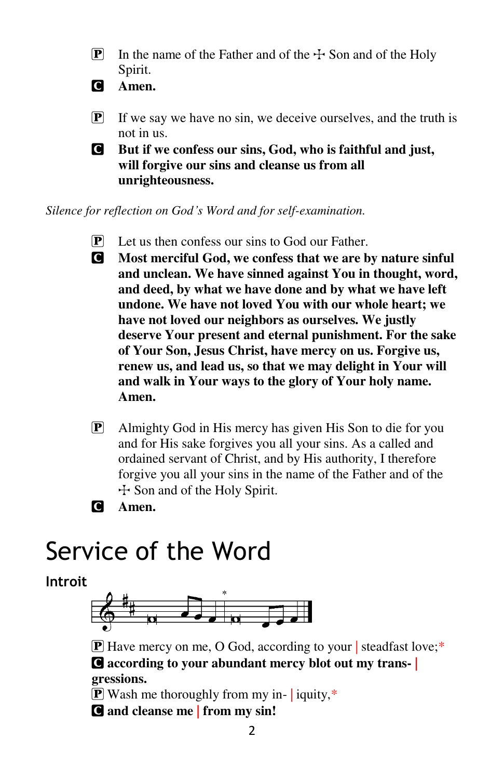**P** In the name of the Father and of the  $\pm$  Son and of the Holy Spirit.

C **Amen.** 

- $\boxed{\mathbf{P}}$  If we say we have no sin, we deceive ourselves, and the truth is not in us.
- C **But if we confess our sins, God, who is faithful and just, will forgive our sins and cleanse us from all unrighteousness.**

*Silence for reflection on God's Word and for self-examination.* 

- $\mathbf{P}$  Let us then confess our sins to God our Father.
- C **Most merciful God, we confess that we are by nature sinful and unclean. We have sinned against You in thought, word, and deed, by what we have done and by what we have left undone. We have not loved You with our whole heart; we have not loved our neighbors as ourselves. We justly deserve Your present and eternal punishment. For the sake of Your Son, Jesus Christ, have mercy on us. Forgive us, renew us, and lead us, so that we may delight in Your will and walk in Your ways to the glory of Your holy name. Amen.**
- P Almighty God in His mercy has given His Son to die for you and for His sake forgives you all your sins. As a called and ordained servant of Christ, and by His authority, I therefore forgive you all your sins in the name of the Father and of the T Son and of the Holy Spirit.
- C **Amen.**

# Service of the Word

**Introit**



**P** Have mercy on me, O God, according to your steadfast love;\* C **according to your abundant mercy blot out my trans- | gressions.** 

**P** Wash me thoroughly from my in- iquity,\* C **and cleanse me | from my sin!**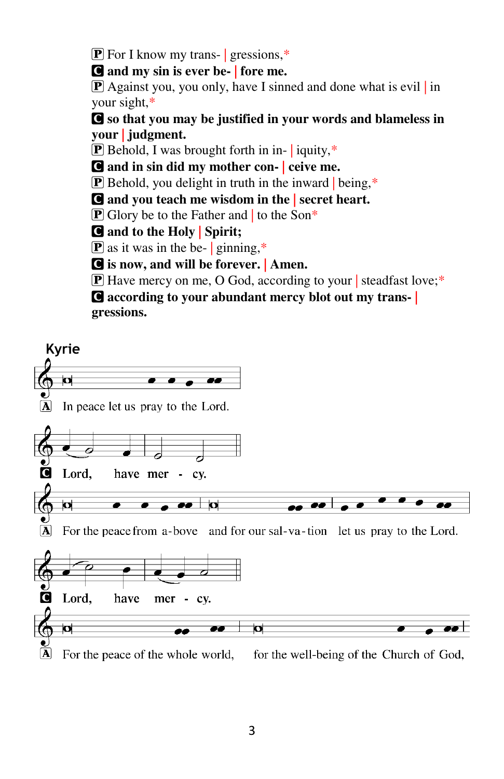**P** For I know my trans- gressions,\*

C **and my sin is ever be- | fore me.** 

 $\mathbf{P}$  Against you, you only, have I sinned and done what is evil in your sight,\*

C **so that you may be justified in your words and blameless in your | judgment.** 

 $\boxed{\mathbf{P}}$  Behold, I was brought forth in in- | iquity,\*

C **and in sin did my mother con- | ceive me.** 

 $\mathbf{P}$  Behold, you delight in truth in the inward being,\*

C **and you teach me wisdom in the | secret heart.** 

**P** Glory be to the Father and to the Son\*

C **and to the Holy | Spirit;** 

 $\mathbf{P}$  as it was in the be- | ginning,\*

C **is now, and will be forever. | Amen.** 

P Have mercy on me, O God, according to your | steadfast love;\*

C **according to your abundant mercy blot out my trans- | gressions.** 

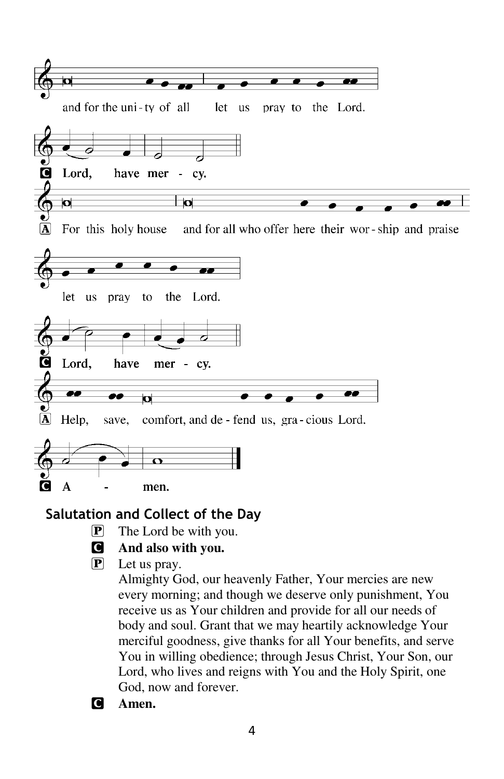

# **Salutation and Collect of the Day**

- P The Lord be with you.
- C **And also with you.**
- P Let us pray.

Almighty God, our heavenly Father, Your mercies are new every morning; and though we deserve only punishment, You receive us as Your children and provide for all our needs of body and soul. Grant that we may heartily acknowledge Your merciful goodness, give thanks for all Your benefits, and serve You in willing obedience; through Jesus Christ, Your Son, our Lord, who lives and reigns with You and the Holy Spirit, one God, now and forever.

C **Amen.**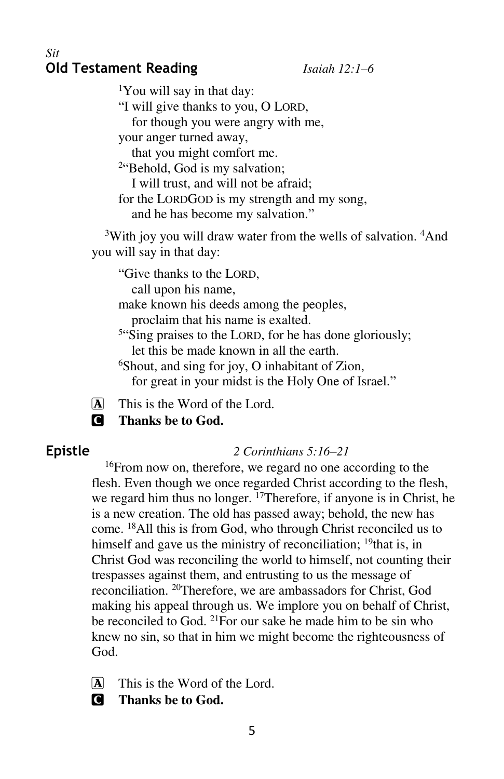#### *Sit*  **Old Testament Reading** *Isaiah 12:1–6*

<sup>1</sup>You will say in that day:

"I will give thanks to you, O LORD,

for though you were angry with me,

your anger turned away,

that you might comfort me.

<sup>2"</sup>Behold, God is my salvation;

I will trust, and will not be afraid;

for the LORDGOD is my strength and my song,

and he has become my salvation."

<sup>3</sup>With joy you will draw water from the wells of salvation. <sup>4</sup>And you will say in that day:

"Give thanks to the LORD, call upon his name,

make known his deeds among the peoples,

proclaim that his name is exalted.

<sup>5"</sup>Sing praises to the LORD, for he has done gloriously; let this be made known in all the earth.

<sup>6</sup>Shout, and sing for joy, O inhabitant of Zion,

for great in your midst is the Holy One of Israel."

A This is the Word of the Lord.

C **Thanks be to God.** 

## **Epistle** *2 Corinthians 5:16–21*

<sup>16</sup>From now on, therefore, we regard no one according to the flesh. Even though we once regarded Christ according to the flesh, we regard him thus no longer. <sup>17</sup>Therefore, if anyone is in Christ, he is a new creation. The old has passed away; behold, the new has come. <sup>18</sup>All this is from God, who through Christ reconciled us to himself and gave us the ministry of reconciliation;  $19$  that is, in Christ God was reconciling the world to himself, not counting their trespasses against them, and entrusting to us the message of reconciliation. <sup>20</sup>Therefore, we are ambassadors for Christ, God making his appeal through us. We implore you on behalf of Christ, be reconciled to God. <sup>21</sup>For our sake he made him to be sin who knew no sin, so that in him we might become the righteousness of God.

 $[A]$  This is the Word of the Lord.

C **Thanks be to God.**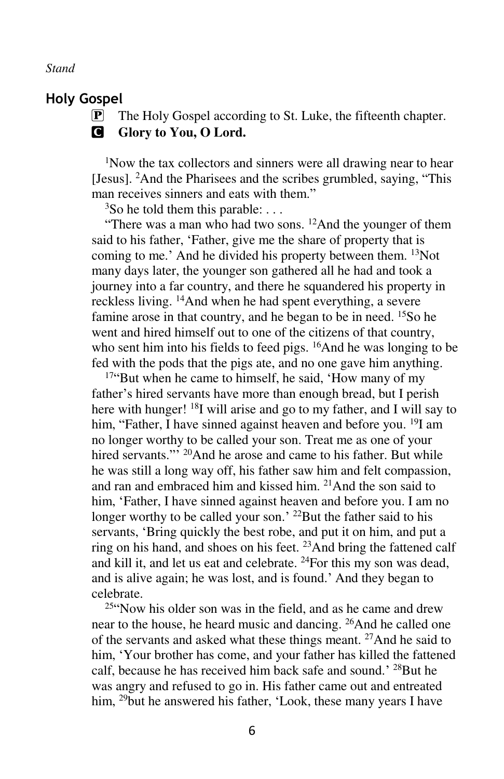#### *Stand*

#### **Holy Gospel**

P The Holy Gospel according to St. Luke, the fifteenth chapter. **G** Glory to You, O Lord.

<sup>1</sup>Now the tax collectors and sinners were all drawing near to hear [Jesus]. <sup>2</sup>And the Pharisees and the scribes grumbled, saying, "This man receives sinners and eats with them."

 $3$ So he told them this parable: ...

"There was a man who had two sons.  $^{12}$ And the younger of them said to his father, 'Father, give me the share of property that is coming to me.' And he divided his property between them. <sup>13</sup>Not many days later, the younger son gathered all he had and took a journey into a far country, and there he squandered his property in reckless living. <sup>14</sup>And when he had spent everything, a severe famine arose in that country, and he began to be in need. <sup>15</sup>So he went and hired himself out to one of the citizens of that country, who sent him into his fields to feed pigs. <sup>16</sup>And he was longing to be fed with the pods that the pigs ate, and no one gave him anything.

<sup>17"</sup>But when he came to himself, he said, 'How many of my father's hired servants have more than enough bread, but I perish here with hunger! <sup>18</sup>I will arise and go to my father, and I will say to him, "Father, I have sinned against heaven and before you. <sup>19</sup>I am no longer worthy to be called your son. Treat me as one of your hired servants."<sup>20</sup>And he arose and came to his father. But while he was still a long way off, his father saw him and felt compassion, and ran and embraced him and kissed him. <sup>21</sup>And the son said to him, 'Father, I have sinned against heaven and before you. I am no longer worthy to be called your son.' <sup>22</sup>But the father said to his servants, 'Bring quickly the best robe, and put it on him, and put a ring on his hand, and shoes on his feet. <sup>23</sup>And bring the fattened calf and kill it, and let us eat and celebrate. <sup>24</sup>For this my son was dead, and is alive again; he was lost, and is found.' And they began to celebrate.

 $25$ "Now his older son was in the field, and as he came and drew near to the house, he heard music and dancing. <sup>26</sup>And he called one of the servants and asked what these things meant. <sup>27</sup>And he said to him, 'Your brother has come, and your father has killed the fattened calf, because he has received him back safe and sound.' <sup>28</sup>But he was angry and refused to go in. His father came out and entreated him, <sup>29</sup>but he answered his father, 'Look, these many years I have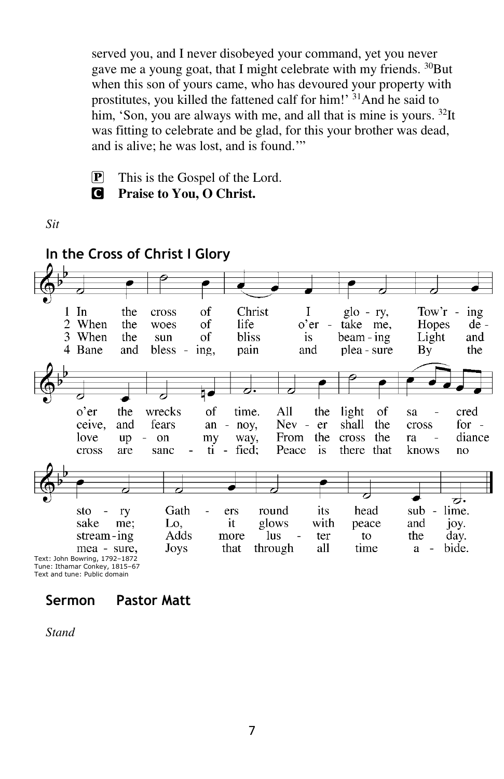served you, and I never disobeyed your command, yet you never gave me a young goat, that I might celebrate with my friends. <sup>30</sup>But when this son of yours came, who has devoured your property with prostitutes, you killed the fattened calf for him!' <sup>31</sup>And he said to him, 'Son, you are always with me, and all that is mine is yours. <sup>32</sup>It was fitting to celebrate and be glad, for this your brother was dead, and is alive; he was lost, and is found.'"

- $\boxed{\mathbf{P}}$  This is the Gospel of the Lord.
- 
- C **Praise to You, O Christ.**

*Sit* 



Tune: Ithamar Conkey, 1815–67 Text and tune: Public domain

# **Sermon Pastor Matt**

*Stand*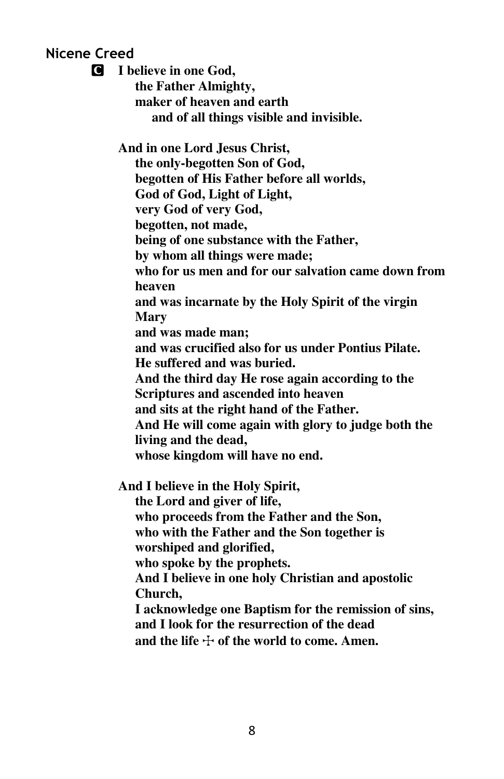### **Nicene Creed**

C **I believe in one God, the Father Almighty, maker of heaven and earth and of all things visible and invisible. And in one Lord Jesus Christ, the only-begotten Son of God, begotten of His Father before all worlds, God of God, Light of Light, very God of very God, begotten, not made, being of one substance with the Father, by whom all things were made; who for us men and for our salvation came down from heaven and was incarnate by the Holy Spirit of the virgin Mary and was made man; and was crucified also for us under Pontius Pilate. He suffered and was buried. And the third day He rose again according to the Scriptures and ascended into heaven and sits at the right hand of the Father. And He will come again with glory to judge both the living and the dead, whose kingdom will have no end. And I believe in the Holy Spirit, the Lord and giver of life,** 

 **who proceeds from the Father and the Son, who with the Father and the Son together is** 

 **worshiped and glorified,** 

 **who spoke by the prophets.** 

 **And I believe in one holy Christian and apostolic Church,** 

 **I acknowledge one Baptism for the remission of sins, and I look for the resurrection of the dead**  and the life  $\div$  of the world to come. Amen.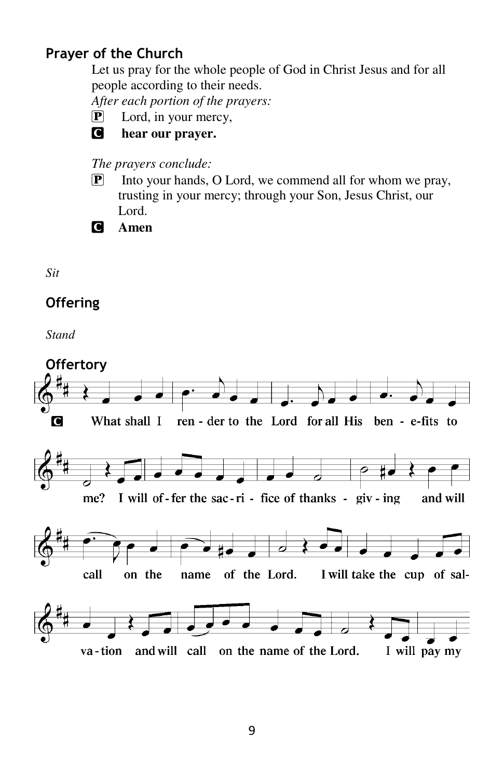# **Prayer of the Church**

Let us pray for the whole people of God in Christ Jesus and for all people according to their needs.

*After each portion of the prayers:* 

P Lord, in your mercy,



#### C **hear our prayer.**

### *The prayers conclude:*

P Into your hands, O Lord, we commend all for whom we pray, trusting in your mercy; through your Son, Jesus Christ, our Lord.

C **Amen** 

*Sit* 

# **Offering**

*Stand* 

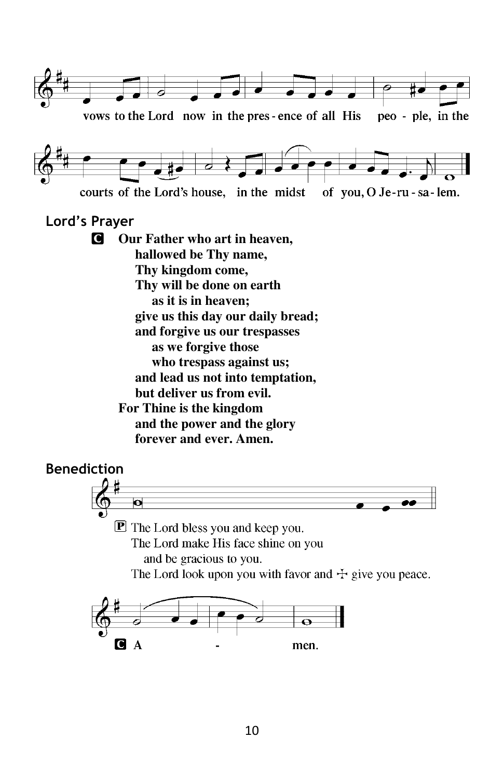

The Lord look upon you with favor and  $\pm$  give you peace.